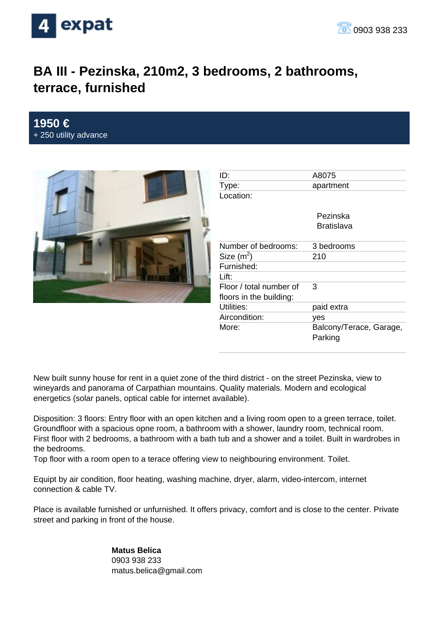

## **BA III - Pezinska, 210m2, 3 bedrooms, 2 bathrooms, terrace, furnished**

## **1950 €** + 250 utility advance



| ID:                     | A8075                              |
|-------------------------|------------------------------------|
| Type:                   | apartment                          |
| Location:               |                                    |
|                         | Pezinska<br>Bratislava             |
| Number of bedrooms:     | 3 bedrooms                         |
| Size $(m^2)$            | 210                                |
| Furnished:              |                                    |
| Lift:                   |                                    |
| Floor / total number of | 3                                  |
| floors in the building: |                                    |
| Utilities:              | paid extra                         |
| Aircondition:           | yes                                |
| More:                   | Balcony/Terace, Garage,<br>Parking |

New built sunny house for rent in a quiet zone of the third district - on the street Pezinska, view to wineyards and panorama of Carpathian mountains. Quality materials. Modern and ecological energetics (solar panels, optical cable for internet available).

Disposition: 3 floors: Entry floor with an open kitchen and a living room open to a green terrace, toilet. Groundfloor with a spacious opne room, a bathroom with a shower, laundry room, technical room. First floor with 2 bedrooms, a bathroom with a bath tub and a shower and a toilet. Built in wardrobes in the bedrooms.

Top floor with a room open to a terace offering view to neighbouring environment. Toilet.

Equipt by air condition, floor heating, washing machine, dryer, alarm, video-intercom, internet connection & cable TV.

Place is available furnished or unfurnished. It offers privacy, comfort and is close to the center. Private street and parking in front of the house.

> **Matus Belica** 0903 938 233 matus.belica@gmail.com